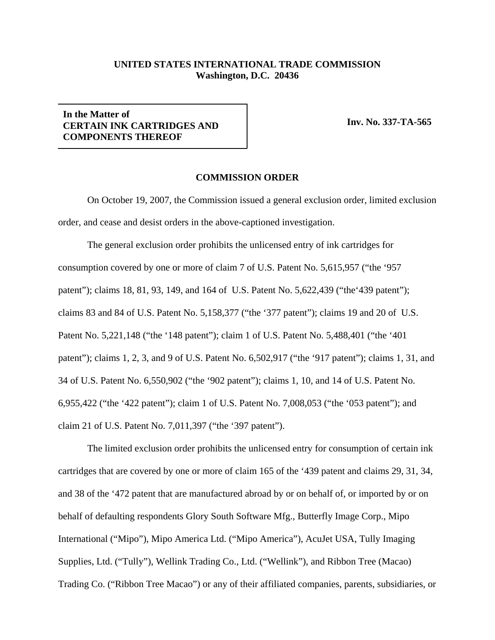## **UNITED STATES INTERNATIONAL TRADE COMMISSION Washington, D.C. 20436**

## **In the Matter of CERTAIN INK CARTRIDGES AND COMPONENTS THEREOF**

**Inv. No. 337-TA-565**

## **COMMISSION ORDER**

On October 19, 2007, the Commission issued a general exclusion order, limited exclusion order, and cease and desist orders in the above-captioned investigation.

The general exclusion order prohibits the unlicensed entry of ink cartridges for consumption covered by one or more of claim 7 of U.S. Patent No. 5,615,957 ("the '957 patent"); claims 18, 81, 93, 149, and 164 of U.S. Patent No. 5,622,439 ("the'439 patent"); claims 83 and 84 of U.S. Patent No. 5,158,377 ("the '377 patent"); claims 19 and 20 of U.S. Patent No. 5,221,148 ("the '148 patent"); claim 1 of U.S. Patent No. 5,488,401 ("the '401 patent"); claims 1, 2, 3, and 9 of U.S. Patent No. 6,502,917 ("the '917 patent"); claims 1, 31, and 34 of U.S. Patent No. 6,550,902 ("the '902 patent"); claims 1, 10, and 14 of U.S. Patent No. 6,955,422 ("the '422 patent"); claim 1 of U.S. Patent No. 7,008,053 ("the '053 patent"); and claim 21 of U.S. Patent No. 7,011,397 ("the '397 patent").

The limited exclusion order prohibits the unlicensed entry for consumption of certain ink cartridges that are covered by one or more of claim 165 of the '439 patent and claims 29, 31, 34, and 38 of the '472 patent that are manufactured abroad by or on behalf of, or imported by or on behalf of defaulting respondents Glory South Software Mfg., Butterfly Image Corp., Mipo International ("Mipo"), Mipo America Ltd. ("Mipo America"), AcuJet USA, Tully Imaging Supplies, Ltd. ("Tully"), Wellink Trading Co., Ltd. ("Wellink"), and Ribbon Tree (Macao) Trading Co. ("Ribbon Tree Macao") or any of their affiliated companies, parents, subsidiaries, or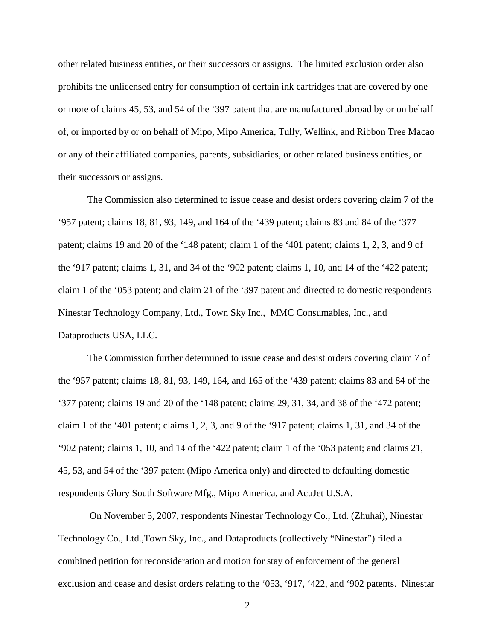other related business entities, or their successors or assigns. The limited exclusion order also prohibits the unlicensed entry for consumption of certain ink cartridges that are covered by one or more of claims 45, 53, and 54 of the '397 patent that are manufactured abroad by or on behalf of, or imported by or on behalf of Mipo, Mipo America, Tully, Wellink, and Ribbon Tree Macao or any of their affiliated companies, parents, subsidiaries, or other related business entities, or their successors or assigns.

The Commission also determined to issue cease and desist orders covering claim 7 of the '957 patent; claims 18, 81, 93, 149, and 164 of the '439 patent; claims 83 and 84 of the '377 patent; claims 19 and 20 of the '148 patent; claim 1 of the '401 patent; claims 1, 2, 3, and 9 of the '917 patent; claims 1, 31, and 34 of the '902 patent; claims 1, 10, and 14 of the '422 patent; claim 1 of the '053 patent; and claim 21 of the '397 patent and directed to domestic respondents Ninestar Technology Company, Ltd., Town Sky Inc., MMC Consumables, Inc., and Dataproducts USA, LLC.

The Commission further determined to issue cease and desist orders covering claim 7 of the '957 patent; claims 18, 81, 93, 149, 164, and 165 of the '439 patent; claims 83 and 84 of the '377 patent; claims 19 and 20 of the '148 patent; claims 29, 31, 34, and 38 of the '472 patent; claim 1 of the '401 patent; claims 1, 2, 3, and 9 of the '917 patent; claims 1, 31, and 34 of the '902 patent; claims 1, 10, and 14 of the '422 patent; claim 1 of the '053 patent; and claims 21, 45, 53, and 54 of the '397 patent (Mipo America only) and directed to defaulting domestic respondents Glory South Software Mfg., Mipo America, and AcuJet U.S.A.

 On November 5, 2007, respondents Ninestar Technology Co., Ltd. (Zhuhai), Ninestar Technology Co., Ltd.,Town Sky, Inc., and Dataproducts (collectively "Ninestar") filed a combined petition for reconsideration and motion for stay of enforcement of the general exclusion and cease and desist orders relating to the '053, '917, '422, and '902 patents. Ninestar